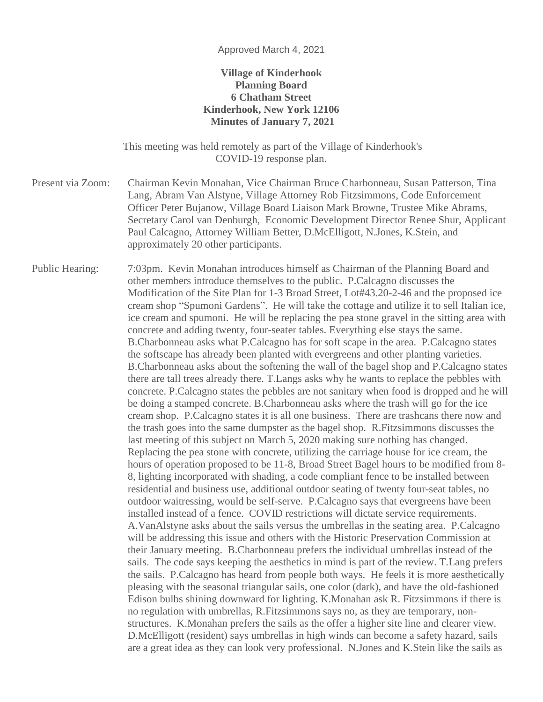## Approved March 4, 2021

## **Village of Kinderhook Planning Board 6 Chatham Street Kinderhook, New York 12106 Minutes of January 7, 2021**

This meeting was held remotely as part of the Village of Kinderhook's COVID-19 response plan.

Present via Zoom: Chairman Kevin Monahan, Vice Chairman Bruce Charbonneau, Susan Patterson, Tina Lang, Abram Van Alstyne, Village Attorney Rob Fitzsimmons, Code Enforcement Officer Peter Bujanow, Village Board Liaison Mark Browne, Trustee Mike Abrams, Secretary Carol van Denburgh, Economic Development Director Renee Shur, Applicant Paul Calcagno, Attorney William Better, D.McElligott, N.Jones, K.Stein, and approximately 20 other participants.

Public Hearing: 7:03pm. Kevin Monahan introduces himself as Chairman of the Planning Board and other members introduce themselves to the public. P.Calcagno discusses the Modification of the Site Plan for 1-3 Broad Street, Lot#43.20-2-46 and the proposed ice cream shop "Spumoni Gardens". He will take the cottage and utilize it to sell Italian ice, ice cream and spumoni. He will be replacing the pea stone gravel in the sitting area with concrete and adding twenty, four-seater tables. Everything else stays the same. B.Charbonneau asks what P.Calcagno has for soft scape in the area. P.Calcagno states the softscape has already been planted with evergreens and other planting varieties. B.Charbonneau asks about the softening the wall of the bagel shop and P.Calcagno states there are tall trees already there. T.Langs asks why he wants to replace the pebbles with concrete. P.Calcagno states the pebbles are not sanitary when food is dropped and he will be doing a stamped concrete. B.Charbonneau asks where the trash will go for the ice cream shop. P.Calcagno states it is all one business. There are trashcans there now and the trash goes into the same dumpster as the bagel shop. R.Fitzsimmons discusses the last meeting of this subject on March 5, 2020 making sure nothing has changed. Replacing the pea stone with concrete, utilizing the carriage house for ice cream, the hours of operation proposed to be 11-8, Broad Street Bagel hours to be modified from 8- 8, lighting incorporated with shading, a code compliant fence to be installed between residential and business use, additional outdoor seating of twenty four-seat tables, no outdoor waitressing, would be self-serve. P.Calcagno says that evergreens have been installed instead of a fence. COVID restrictions will dictate service requirements. A.VanAlstyne asks about the sails versus the umbrellas in the seating area. P.Calcagno will be addressing this issue and others with the Historic Preservation Commission at their January meeting. B.Charbonneau prefers the individual umbrellas instead of the sails. The code says keeping the aesthetics in mind is part of the review. T.Lang prefers the sails. P.Calcagno has heard from people both ways. He feels it is more aesthetically pleasing with the seasonal triangular sails, one color (dark), and have the old-fashioned Edison bulbs shining downward for lighting. K.Monahan ask R. Fitzsimmons if there is no regulation with umbrellas, R.Fitzsimmons says no, as they are temporary, nonstructures. K.Monahan prefers the sails as the offer a higher site line and clearer view. D.McElligott (resident) says umbrellas in high winds can become a safety hazard, sails are a great idea as they can look very professional. N.Jones and K.Stein like the sails as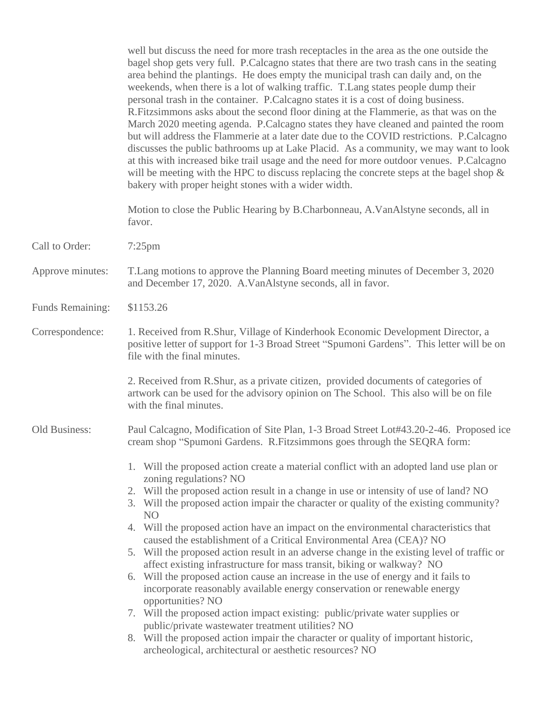well but discuss the need for more trash receptacles in the area as the one outside the bagel shop gets very full. P.Calcagno states that there are two trash cans in the seating area behind the plantings. He does empty the municipal trash can daily and, on the weekends, when there is a lot of walking traffic. T.Lang states people dump their personal trash in the container. P.Calcagno states it is a cost of doing business. R.Fitzsimmons asks about the second floor dining at the Flammerie, as that was on the March 2020 meeting agenda. P.Calcagno states they have cleaned and painted the room but will address the Flammerie at a later date due to the COVID restrictions. P.Calcagno discusses the public bathrooms up at Lake Placid. As a community, we may want to look at this with increased bike trail usage and the need for more outdoor venues. P.Calcagno will be meeting with the HPC to discuss replacing the concrete steps at the bagel shop  $\&$ bakery with proper height stones with a wider width.

Motion to close the Public Hearing by B.Charbonneau, A.VanAlstyne seconds, all in favor.

- Call to Order: 7:25pm
- Approve minutes: T.Lang motions to approve the Planning Board meeting minutes of December 3, 2020 and December 17, 2020. A.VanAlstyne seconds, all in favor.
- Funds Remaining: \$1153.26
- Correspondence: 1. Received from R.Shur, Village of Kinderhook Economic Development Director, a positive letter of support for 1-3 Broad Street "Spumoni Gardens". This letter will be on file with the final minutes.

2. Received from R.Shur, as a private citizen, provided documents of categories of artwork can be used for the advisory opinion on The School. This also will be on file with the final minutes.

Old Business: Paul Calcagno, Modification of Site Plan, 1-3 Broad Street Lot#43.20-2-46. Proposed ice cream shop "Spumoni Gardens. R.Fitzsimmons goes through the SEQRA form:

- 1. Will the proposed action create a material conflict with an adopted land use plan or zoning regulations? NO
- 2. Will the proposed action result in a change in use or intensity of use of land? NO
- 3. Will the proposed action impair the character or quality of the existing community? NO
- 4. Will the proposed action have an impact on the environmental characteristics that caused the establishment of a Critical Environmental Area (CEA)? NO
- 5. Will the proposed action result in an adverse change in the existing level of traffic or affect existing infrastructure for mass transit, biking or walkway? NO
- 6. Will the proposed action cause an increase in the use of energy and it fails to incorporate reasonably available energy conservation or renewable energy opportunities? NO
- 7. Will the proposed action impact existing: public/private water supplies or public/private wastewater treatment utilities? NO
- 8. Will the proposed action impair the character or quality of important historic, archeological, architectural or aesthetic resources? NO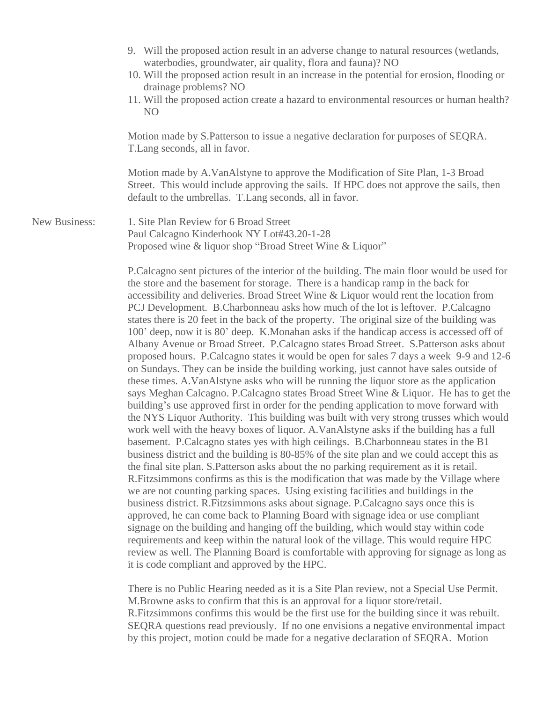|                      | 9. Will the proposed action result in an adverse change to natural resources (wetlands,<br>waterbodies, groundwater, air quality, flora and fauna)? NO<br>10. Will the proposed action result in an increase in the potential for erosion, flooding or<br>drainage problems? NO<br>11. Will the proposed action create a hazard to environmental resources or human health?<br>N <sub>O</sub>                                                                                                                                                                                                                                                                                                                                                                                                                                                                                                                                                                                                                                                                                                                                                                                                                                                                                                                                                                                                                                                                                                                                                                                                                                                                                                                                                                                                                                                                                                                                                    |
|----------------------|--------------------------------------------------------------------------------------------------------------------------------------------------------------------------------------------------------------------------------------------------------------------------------------------------------------------------------------------------------------------------------------------------------------------------------------------------------------------------------------------------------------------------------------------------------------------------------------------------------------------------------------------------------------------------------------------------------------------------------------------------------------------------------------------------------------------------------------------------------------------------------------------------------------------------------------------------------------------------------------------------------------------------------------------------------------------------------------------------------------------------------------------------------------------------------------------------------------------------------------------------------------------------------------------------------------------------------------------------------------------------------------------------------------------------------------------------------------------------------------------------------------------------------------------------------------------------------------------------------------------------------------------------------------------------------------------------------------------------------------------------------------------------------------------------------------------------------------------------------------------------------------------------------------------------------------------------|
|                      | Motion made by S.Patterson to issue a negative declaration for purposes of SEQRA.<br>T. Lang seconds, all in favor.                                                                                                                                                                                                                                                                                                                                                                                                                                                                                                                                                                                                                                                                                                                                                                                                                                                                                                                                                                                                                                                                                                                                                                                                                                                                                                                                                                                                                                                                                                                                                                                                                                                                                                                                                                                                                              |
|                      | Motion made by A.VanAlstyne to approve the Modification of Site Plan, 1-3 Broad<br>Street. This would include approving the sails. If HPC does not approve the sails, then<br>default to the umbrellas. T.Lang seconds, all in favor.                                                                                                                                                                                                                                                                                                                                                                                                                                                                                                                                                                                                                                                                                                                                                                                                                                                                                                                                                                                                                                                                                                                                                                                                                                                                                                                                                                                                                                                                                                                                                                                                                                                                                                            |
| <b>New Business:</b> | 1. Site Plan Review for 6 Broad Street<br>Paul Calcagno Kinderhook NY Lot#43.20-1-28<br>Proposed wine & liquor shop "Broad Street Wine & Liquor"                                                                                                                                                                                                                                                                                                                                                                                                                                                                                                                                                                                                                                                                                                                                                                                                                                                                                                                                                                                                                                                                                                                                                                                                                                                                                                                                                                                                                                                                                                                                                                                                                                                                                                                                                                                                 |
|                      | P. Calcagno sent pictures of the interior of the building. The main floor would be used for<br>the store and the basement for storage. There is a handicap ramp in the back for<br>accessibility and deliveries. Broad Street Wine & Liquor would rent the location from<br>PCJ Development. B.Charbonneau asks how much of the lot is leftover. P.Calcagno<br>states there is 20 feet in the back of the property. The original size of the building was<br>100' deep, now it is 80' deep. K.Monahan asks if the handicap access is accessed off of<br>Albany Avenue or Broad Street. P.Calcagno states Broad Street. S.Patterson asks about<br>proposed hours. P.Calcagno states it would be open for sales 7 days a week 9-9 and 12-6<br>on Sundays. They can be inside the building working, just cannot have sales outside of<br>these times. A. VanAlstyne asks who will be running the liquor store as the application<br>says Meghan Calcagno. P.Calcagno states Broad Street Wine & Liquor. He has to get the<br>building's use approved first in order for the pending application to move forward with<br>the NYS Liquor Authority. This building was built with very strong trusses which would<br>work well with the heavy boxes of liquor. A. Van Alstyne asks if the building has a full<br>basement. P.Calcagno states yes with high ceilings. B.Charbonneau states in the B1<br>business district and the building is 80-85% of the site plan and we could accept this as<br>the final site plan. S. Patterson asks about the no parking requirement as it is retail.<br>R. Fitzsimmons confirms as this is the modification that was made by the Village where<br>we are not counting parking spaces. Using existing facilities and buildings in the<br>business district. R. Fitzsimmons asks about signage. P. Calcagno says once this is<br>approved, he can come back to Planning Board with signage idea or use compliant |

signage on the building and hanging off the building, which would stay within code requirements and keep within the natural look of the village. This would require HPC review as well. The Planning Board is comfortable with approving for signage as long as it is code compliant and approved by the HPC.

There is no Public Hearing needed as it is a Site Plan review, not a Special Use Permit. M.Browne asks to confirm that this is an approval for a liquor store/retail. R.Fitzsimmons confirms this would be the first use for the building since it was rebuilt. SEQRA questions read previously. If no one envisions a negative environmental impact by this project, motion could be made for a negative declaration of SEQRA. Motion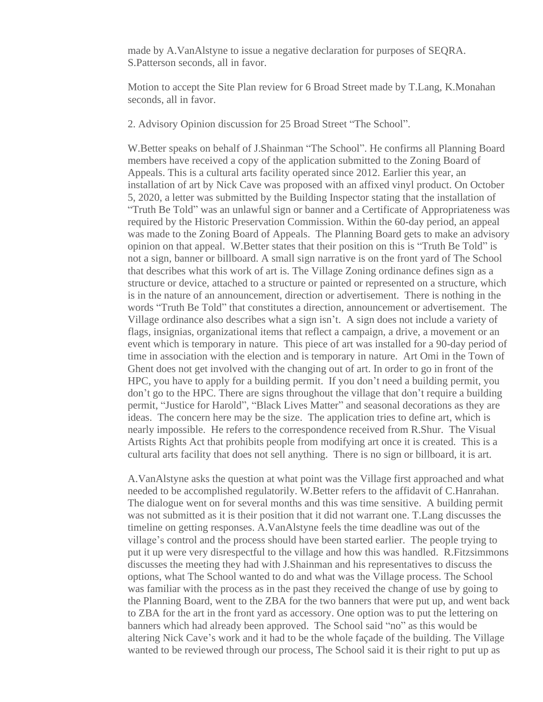made by A.VanAlstyne to issue a negative declaration for purposes of SEQRA. S.Patterson seconds, all in favor.

Motion to accept the Site Plan review for 6 Broad Street made by T.Lang, K.Monahan seconds, all in favor.

2. Advisory Opinion discussion for 25 Broad Street "The School".

W.Better speaks on behalf of J.Shainman "The School". He confirms all Planning Board members have received a copy of the application submitted to the Zoning Board of Appeals. This is a cultural arts facility operated since 2012. Earlier this year, an installation of art by Nick Cave was proposed with an affixed vinyl product. On October 5, 2020, a letter was submitted by the Building Inspector stating that the installation of "Truth Be Told" was an unlawful sign or banner and a Certificate of Appropriateness was required by the Historic Preservation Commission. Within the 60-day period, an appeal was made to the Zoning Board of Appeals. The Planning Board gets to make an advisory opinion on that appeal. W.Better states that their position on this is "Truth Be Told" is not a sign, banner or billboard. A small sign narrative is on the front yard of The School that describes what this work of art is. The Village Zoning ordinance defines sign as a structure or device, attached to a structure or painted or represented on a structure, which is in the nature of an announcement, direction or advertisement. There is nothing in the words "Truth Be Told" that constitutes a direction, announcement or advertisement. The Village ordinance also describes what a sign isn't. A sign does not include a variety of flags, insignias, organizational items that reflect a campaign, a drive, a movement or an event which is temporary in nature. This piece of art was installed for a 90-day period of time in association with the election and is temporary in nature. Art Omi in the Town of Ghent does not get involved with the changing out of art. In order to go in front of the HPC, you have to apply for a building permit. If you don't need a building permit, you don't go to the HPC. There are signs throughout the village that don't require a building permit, "Justice for Harold", "Black Lives Matter" and seasonal decorations as they are ideas. The concern here may be the size. The application tries to define art, which is nearly impossible. He refers to the correspondence received from R.Shur. The Visual Artists Rights Act that prohibits people from modifying art once it is created. This is a cultural arts facility that does not sell anything. There is no sign or billboard, it is art.

A.VanAlstyne asks the question at what point was the Village first approached and what needed to be accomplished regulatorily. W.Better refers to the affidavit of C.Hanrahan. The dialogue went on for several months and this was time sensitive. A building permit was not submitted as it is their position that it did not warrant one. T.Lang discusses the timeline on getting responses. A.VanAlstyne feels the time deadline was out of the village's control and the process should have been started earlier. The people trying to put it up were very disrespectful to the village and how this was handled. R.Fitzsimmons discusses the meeting they had with J.Shainman and his representatives to discuss the options, what The School wanted to do and what was the Village process. The School was familiar with the process as in the past they received the change of use by going to the Planning Board, went to the ZBA for the two banners that were put up, and went back to ZBA for the art in the front yard as accessory. One option was to put the lettering on banners which had already been approved. The School said "no" as this would be altering Nick Cave's work and it had to be the whole façade of the building. The Village wanted to be reviewed through our process, The School said it is their right to put up as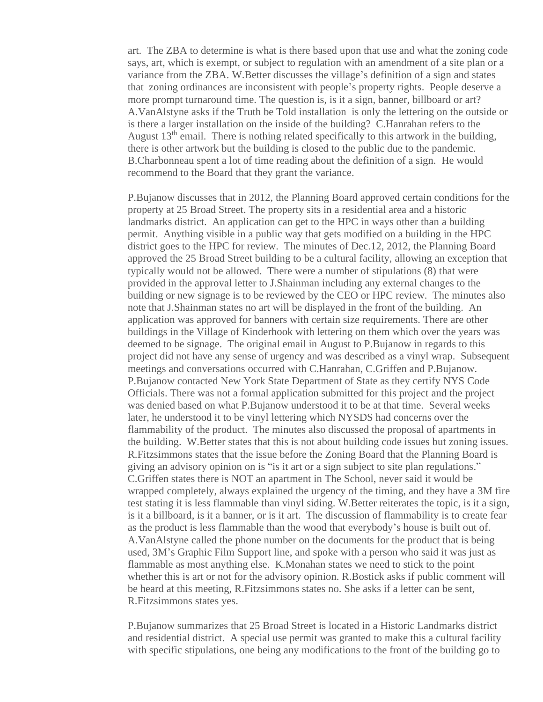art. The ZBA to determine is what is there based upon that use and what the zoning code says, art, which is exempt, or subject to regulation with an amendment of a site plan or a variance from the ZBA. W.Better discusses the village's definition of a sign and states that zoning ordinances are inconsistent with people's property rights. People deserve a more prompt turnaround time. The question is, is it a sign, banner, billboard or art? A.VanAlstyne asks if the Truth be Told installation is only the lettering on the outside or is there a larger installation on the inside of the building? C.Hanrahan refers to the August  $13<sup>th</sup>$  email. There is nothing related specifically to this artwork in the building, there is other artwork but the building is closed to the public due to the pandemic. B.Charbonneau spent a lot of time reading about the definition of a sign. He would recommend to the Board that they grant the variance.

P.Bujanow discusses that in 2012, the Planning Board approved certain conditions for the property at 25 Broad Street. The property sits in a residential area and a historic landmarks district. An application can get to the HPC in ways other than a building permit. Anything visible in a public way that gets modified on a building in the HPC district goes to the HPC for review. The minutes of Dec.12, 2012, the Planning Board approved the 25 Broad Street building to be a cultural facility, allowing an exception that typically would not be allowed. There were a number of stipulations (8) that were provided in the approval letter to J.Shainman including any external changes to the building or new signage is to be reviewed by the CEO or HPC review. The minutes also note that J.Shainman states no art will be displayed in the front of the building. An application was approved for banners with certain size requirements. There are other buildings in the Village of Kinderhook with lettering on them which over the years was deemed to be signage. The original email in August to P.Bujanow in regards to this project did not have any sense of urgency and was described as a vinyl wrap. Subsequent meetings and conversations occurred with C.Hanrahan, C.Griffen and P.Bujanow. P.Bujanow contacted New York State Department of State as they certify NYS Code Officials. There was not a formal application submitted for this project and the project was denied based on what P.Bujanow understood it to be at that time. Several weeks later, he understood it to be vinyl lettering which NYSDS had concerns over the flammability of the product. The minutes also discussed the proposal of apartments in the building. W.Better states that this is not about building code issues but zoning issues. R.Fitzsimmons states that the issue before the Zoning Board that the Planning Board is giving an advisory opinion on is "is it art or a sign subject to site plan regulations." C.Griffen states there is NOT an apartment in The School, never said it would be wrapped completely, always explained the urgency of the timing, and they have a 3M fire test stating it is less flammable than vinyl siding. W.Better reiterates the topic, is it a sign, is it a billboard, is it a banner, or is it art. The discussion of flammability is to create fear as the product is less flammable than the wood that everybody's house is built out of. A.VanAlstyne called the phone number on the documents for the product that is being used, 3M's Graphic Film Support line, and spoke with a person who said it was just as flammable as most anything else. K.Monahan states we need to stick to the point whether this is art or not for the advisory opinion. R.Bostick asks if public comment will be heard at this meeting, R.Fitzsimmons states no. She asks if a letter can be sent, R.Fitzsimmons states yes.

P.Bujanow summarizes that 25 Broad Street is located in a Historic Landmarks district and residential district. A special use permit was granted to make this a cultural facility with specific stipulations, one being any modifications to the front of the building go to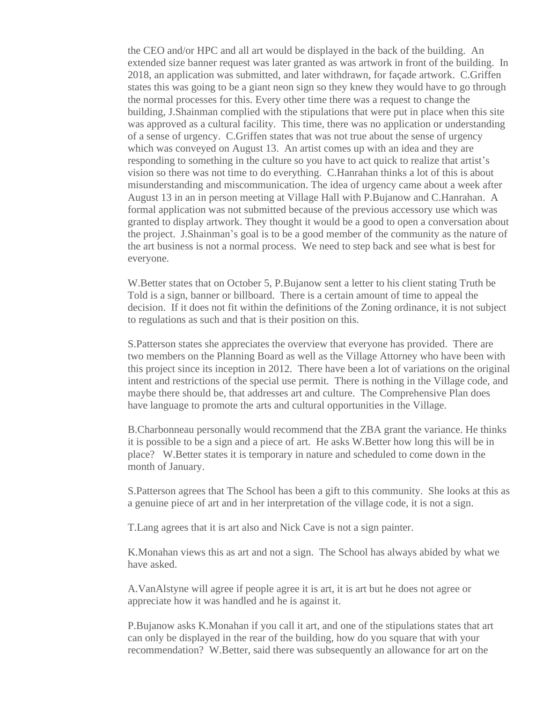the CEO and/or HPC and all art would be displayed in the back of the building. An extended size banner request was later granted as was artwork in front of the building. In 2018, an application was submitted, and later withdrawn, for façade artwork. C.Griffen states this was going to be a giant neon sign so they knew they would have to go through the normal processes for this. Every other time there was a request to change the building, J.Shainman complied with the stipulations that were put in place when this site was approved as a cultural facility. This time, there was no application or understanding of a sense of urgency. C.Griffen states that was not true about the sense of urgency which was conveyed on August 13. An artist comes up with an idea and they are responding to something in the culture so you have to act quick to realize that artist's vision so there was not time to do everything. C.Hanrahan thinks a lot of this is about misunderstanding and miscommunication. The idea of urgency came about a week after August 13 in an in person meeting at Village Hall with P.Bujanow and C.Hanrahan. A formal application was not submitted because of the previous accessory use which was granted to display artwork. They thought it would be a good to open a conversation about the project. J.Shainman's goal is to be a good member of the community as the nature of the art business is not a normal process. We need to step back and see what is best for everyone.

W. Better states that on October 5, P. Bujanow sent a letter to his client stating Truth be Told is a sign, banner or billboard. There is a certain amount of time to appeal the decision. If it does not fit within the definitions of the Zoning ordinance, it is not subject to regulations as such and that is their position on this.

S.Patterson states she appreciates the overview that everyone has provided. There are two members on the Planning Board as well as the Village Attorney who have been with this project since its inception in 2012. There have been a lot of variations on the original intent and restrictions of the special use permit. There is nothing in the Village code, and maybe there should be, that addresses art and culture. The Comprehensive Plan does have language to promote the arts and cultural opportunities in the Village.

B.Charbonneau personally would recommend that the ZBA grant the variance. He thinks it is possible to be a sign and a piece of art. He asks W.Better how long this will be in place? W.Better states it is temporary in nature and scheduled to come down in the month of January.

S.Patterson agrees that The School has been a gift to this community. She looks at this as a genuine piece of art and in her interpretation of the village code, it is not a sign.

T.Lang agrees that it is art also and Nick Cave is not a sign painter.

K.Monahan views this as art and not a sign. The School has always abided by what we have asked.

A.VanAlstyne will agree if people agree it is art, it is art but he does not agree or appreciate how it was handled and he is against it.

P.Bujanow asks K.Monahan if you call it art, and one of the stipulations states that art can only be displayed in the rear of the building, how do you square that with your recommendation? W.Better, said there was subsequently an allowance for art on the